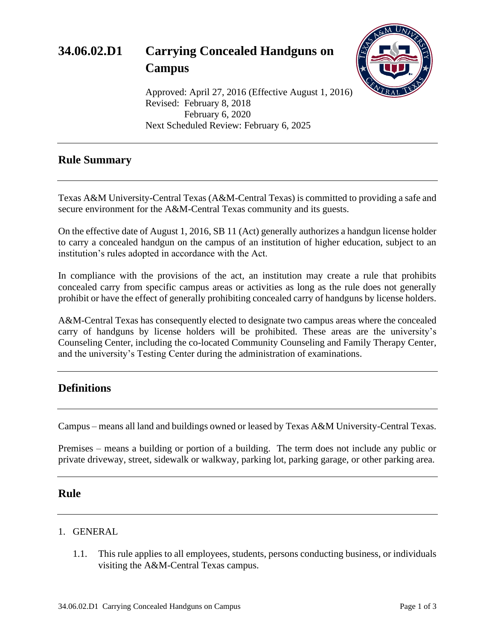

Approved: April 27, 2016 (Effective August 1, 2016) Revised: February 8, 2018 February 6, 2020 Next Scheduled Review: February 6, 2025

## **Rule Summary**

Texas A&M University-Central Texas (A&M-Central Texas) is committed to providing a safe and secure environment for the A&M-Central Texas community and its guests.

On the effective date of August 1, 2016, SB 11 (Act) generally authorizes a handgun license holder to carry a concealed handgun on the campus of an institution of higher education, subject to an institution's rules adopted in accordance with the Act.

In compliance with the provisions of the act, an institution may create a rule that prohibits concealed carry from specific campus areas or activities as long as the rule does not generally prohibit or have the effect of generally prohibiting concealed carry of handguns by license holders.

A&M-Central Texas has consequently elected to designate two campus areas where the concealed carry of handguns by license holders will be prohibited. These areas are the university's Counseling Center, including the co-located Community Counseling and Family Therapy Center, and the university's Testing Center during the administration of examinations.

# **Definitions**

Campus – means all land and buildings owned or leased by Texas A&M University-Central Texas.

Premises – means a building or portion of a building. The term does not include any public or private driveway, street, sidewalk or walkway, parking lot, parking garage, or other parking area.

### **Rule**

#### 1. GENERAL

1.1. This rule applies to all employees, students, persons conducting business, or individuals visiting the A&M-Central Texas campus.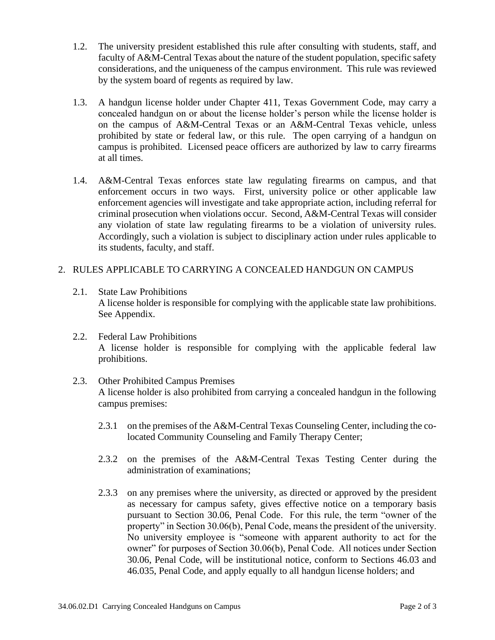- 1.2. The university president established this rule after consulting with students, staff, and faculty of A&M-Central Texas about the nature of the student population, specific safety considerations, and the uniqueness of the campus environment. This rule was reviewed by the system board of regents as required by law.
- 1.3. A handgun license holder under Chapter 411, Texas Government Code, may carry a concealed handgun on or about the license holder's person while the license holder is on the campus of A&M-Central Texas or an A&M-Central Texas vehicle, unless prohibited by state or federal law, or this rule. The open carrying of a handgun on campus is prohibited. Licensed peace officers are authorized by law to carry firearms at all times.
- 1.4. A&M-Central Texas enforces state law regulating firearms on campus, and that enforcement occurs in two ways. First, university police or other applicable law enforcement agencies will investigate and take appropriate action, including referral for criminal prosecution when violations occur. Second, A&M-Central Texas will consider any violation of state law regulating firearms to be a violation of university rules. Accordingly, such a violation is subject to disciplinary action under rules applicable to its students, faculty, and staff.

#### 2. RULES APPLICABLE TO CARRYING A CONCEALED HANDGUN ON CAMPUS

- 2.1. State Law Prohibitions A license holder is responsible for complying with the applicable state law prohibitions. See Appendix.
- 2.2. Federal Law Prohibitions A license holder is responsible for complying with the applicable federal law prohibitions.
- 2.3. Other Prohibited Campus Premises A license holder is also prohibited from carrying a concealed handgun in the following campus premises:
	- 2.3.1 on the premises of the A&M-Central Texas Counseling Center, including the colocated Community Counseling and Family Therapy Center;
	- 2.3.2 on the premises of the A&M-Central Texas Testing Center during the administration of examinations;
	- 2.3.3 on any premises where the university, as directed or approved by the president as necessary for campus safety, gives effective notice on a temporary basis pursuant to Section 30.06, Penal Code. For this rule, the term "owner of the property" in Section 30.06(b), Penal Code, means the president of the university. No university employee is "someone with apparent authority to act for the owner" for purposes of Section 30.06(b), Penal Code. All notices under Section 30.06, Penal Code, will be institutional notice, conform to Sections 46.03 and 46.035, Penal Code, and apply equally to all handgun license holders; and